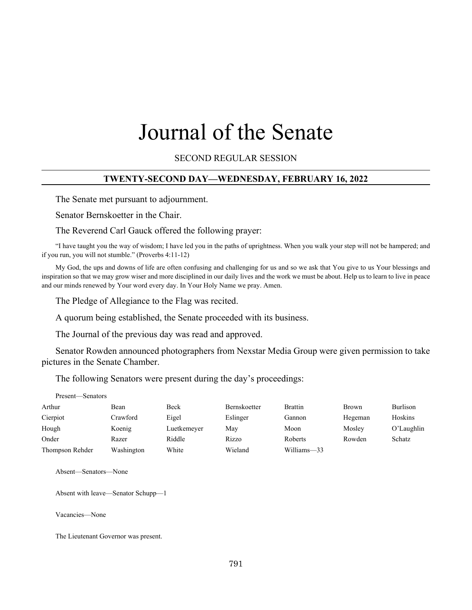# Journal of the Senate

SECOND REGULAR SESSION

#### **TWENTY-SECOND DAY—WEDNESDAY, FEBRUARY 16, 2022**

The Senate met pursuant to adjournment.

Senator Bernskoetter in the Chair.

The Reverend Carl Gauck offered the following prayer:

"I have taught you the way of wisdom; I have led you in the paths of uprightness. When you walk your step will not be hampered; and if you run, you will not stumble." (Proverbs 4:11-12)

My God, the ups and downs of life are often confusing and challenging for us and so we ask that You give to us Your blessings and inspiration so that we may grow wiser and more disciplined in our daily lives and the work we must be about. Help us to learn to live in peace and our minds renewed by Your word every day. In Your Holy Name we pray. Amen.

The Pledge of Allegiance to the Flag was recited.

A quorum being established, the Senate proceeded with its business.

The Journal of the previous day was read and approved.

Senator Rowden announced photographers from Nexstar Media Group were given permission to take pictures in the Senate Chamber.

The following Senators were present during the day's proceedings:

| Present—Senators |            |             |                     |                |              |               |
|------------------|------------|-------------|---------------------|----------------|--------------|---------------|
| Arthur           | Bean       | <b>Beck</b> | <b>Bernskoetter</b> | <b>Brattin</b> | <b>Brown</b> | Burlison      |
| Cierpiot         | Crawford   | Eigel       | Eslinger            | Gannon         | Hegeman      | Hoskins       |
| Hough            | Koenig     | Luetkemeyer | May                 | Moon           | Mosley       | $O'$ Laughlin |
| Onder            | Razer      | Riddle      | Rizzo               | <b>Roberts</b> | Rowden       | Schatz        |
| Thompson Rehder  | Washington | White       | Wieland             | Williams-33    |              |               |

Absent—Senators—None

Absent with leave—Senator Schupp—1

Vacancies—None

The Lieutenant Governor was present.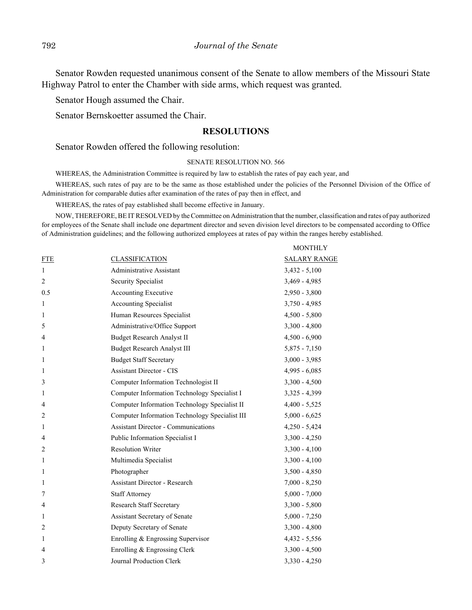Senator Rowden requested unanimous consent of the Senate to allow members of the Missouri State Highway Patrol to enter the Chamber with side arms, which request was granted.

Senator Hough assumed the Chair.

Senator Bernskoetter assumed the Chair.

#### **RESOLUTIONS**

Senator Rowden offered the following resolution:

#### SENATE RESOLUTION NO. 566

WHEREAS, the Administration Committee is required by law to establish the rates of pay each year, and

WHEREAS, such rates of pay are to be the same as those established under the policies of the Personnel Division of the Office of Administration for comparable duties after examination of the rates of pay then in effect, and

WHEREAS, the rates of pay established shall become effective in January.

NOW, THEREFORE, BE IT RESOLVED by the Committee on Administration that the number, classification and rates of pay authorized for employees of the Senate shall include one department director and seven division level directors to be compensated according to Office of Administration guidelines; and the following authorized employees at rates of pay within the ranges hereby established.

 $\overline{\phantom{a}}$ 

|                |                                                | MONTHLY             |
|----------------|------------------------------------------------|---------------------|
| <b>FTE</b>     | <b>CLASSIFICATION</b>                          | <b>SALARY RANGE</b> |
| 1              | Administrative Assistant                       | $3,432 - 5,100$     |
| $\overline{2}$ | Security Specialist                            | $3,469 - 4,985$     |
| 0.5            | Accounting Executive                           | $2,950 - 3,800$     |
| $\mathbf{1}$   | <b>Accounting Specialist</b>                   | $3,750 - 4,985$     |
| 1              | Human Resources Specialist                     | $4,500 - 5,800$     |
| 5              | Administrative/Office Support                  | $3,300 - 4,800$     |
| 4              | <b>Budget Research Analyst II</b>              | $4,500 - 6,900$     |
| 1              | Budget Research Analyst III                    | $5,875 - 7,150$     |
| 1              | <b>Budget Staff Secretary</b>                  | $3,000 - 3,985$     |
| 1              | <b>Assistant Director - CIS</b>                | $4,995 - 6,085$     |
| 3              | Computer Information Technologist II           | $3,300 - 4,500$     |
| 1              | Computer Information Technology Specialist I   | $3,325 - 4,399$     |
| 4              | Computer Information Technology Specialist II  | $4,400 - 5,525$     |
| $\overline{2}$ | Computer Information Technology Specialist III | $5,000 - 6,625$     |
| 1              | <b>Assistant Director - Communications</b>     | $4,250 - 5,424$     |
| $\overline{4}$ | Public Information Specialist I                | $3,300 - 4,250$     |
| $\overline{2}$ | <b>Resolution Writer</b>                       | $3,300 - 4,100$     |
| 1              | Multimedia Specialist                          | $3,300 - 4,100$     |
| $\mathbf{1}$   | Photographer                                   | $3,500 - 4,850$     |
| 1              | Assistant Director - Research                  | $7,000 - 8,250$     |
| 7              | <b>Staff Attorney</b>                          | $5,000 - 7,000$     |
| 4              | Research Staff Secretary                       | $3,300 - 5,800$     |
| 1              | Assistant Secretary of Senate                  | $5,000 - 7,250$     |
| $\overline{2}$ | Deputy Secretary of Senate                     | $3,300 - 4,800$     |
| 1              | Enrolling & Engrossing Supervisor              | $4,432 - 5,556$     |
| 4              | Enrolling & Engrossing Clerk                   | $3,300 - 4,500$     |
| 3              | Journal Production Clerk                       | $3,330 - 4,250$     |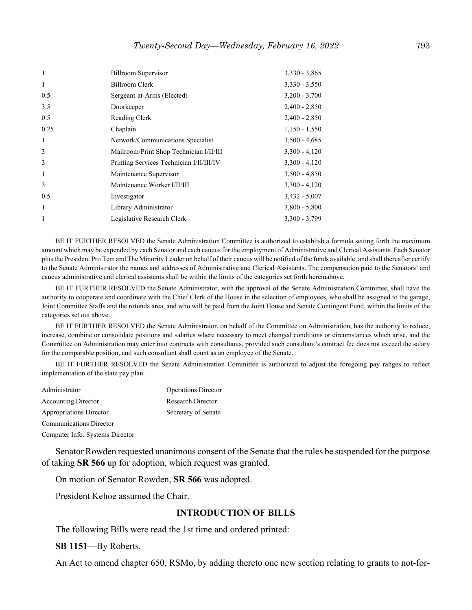| $\overline{1}$ | <b>Billroom Supervisor</b>               | $3,330 - 3,865$ |
|----------------|------------------------------------------|-----------------|
| $\mathbf{1}$   | <b>Billroom Clerk</b>                    | $3,330 - 3,550$ |
| 0.5            | Sergeant-at-Arms (Elected)               | $3,200 - 3,700$ |
| 3.5            | Doorkeeper                               | $2,400 - 2,850$ |
| 0.5            | Reading Clerk                            | $2,400 - 2,850$ |
| 0.25           | Chaplain                                 | $1,150 - 1,550$ |
| -1             | Network/Communications Specialist        | $3,500 - 4,685$ |
| 3              | Mailroom/Print Shop Technician I/II/III  | $3,300 - 4,120$ |
| 3              | Printing Services Technician I/II/III/IV | $3,300 - 4,120$ |
| 1              | Maintenance Supervisor                   | $3,500 - 4,850$ |
| 3              | Maintenance Worker I/II/III              | $3,300 - 4,120$ |
| 0.5            | Investigator                             | $3,432 - 5,007$ |
| $\mathbf{1}$   | Library Administrator                    | $3,800 - 5,800$ |
| 1              | Legislative Research Clerk               | $3,300 - 3,799$ |
|                |                                          |                 |

BE IT FURTHER RESOLVED the Senate Administration Committee is authorized to establish a formula setting forth the maximum amount which may be expended by each Senator and each caucus for the employment of Administrative and Clerical Assistants. Each Senator plus the President Pro Tem and The Minority Leader on behalf of their caucus will be notified of the funds available, and shall thereafter certify to the Senate Administrator the names and addresses of Administrative and Clerical Assistants. The compensation paid to the Senators' and caucus administrative and clerical assistants shall be within the limits of the categories set forth hereinabove.

BE IT FURTHER RESOLVED the Senate Administrator, with the approval of the Senate Administration Committee, shall have the authority to cooperate and coordinate with the Chief Clerk of the House in the selection of employees, who shall be assigned to the garage, Joint Committee Staffs and the rotunda area, and who will be paid from the Joint House and Senate Contingent Fund, within the limits of the categories set out above.

BE IT FURTHER RESOLVED the Senate Administrator, on behalf of the Committee on Administration, has the authority to reduce, increase, combine or consolidate positions and salaries where necessary to meet changed conditions or circumstances which arise, and the Committee on Administration may enter into contracts with consultants, provided such consultant's contract fee does not exceed the salary for the comparable position, and such consultant shall count as an employee of the Senate.

BE IT FURTHER RESOLVED the Senate Administration Committee is authorized to adjust the foregoing pay ranges to reflect implementation of the state pay plan.

| Administrator                   | <b>Operations Director</b> |
|---------------------------------|----------------------------|
| <b>Accounting Director</b>      | <b>Research Director</b>   |
| <b>Appropriations Director</b>  | Secretary of Senate        |
| <b>Communications Director</b>  |                            |
| Computer Info. Systems Director |                            |

Senator Rowden requested unanimous consent of the Senate that the rules be suspended for the purpose of taking **SR 566** up for adoption, which request was granted.

On motion of Senator Rowden, **SR 566** was adopted.

President Kehoe assumed the Chair.

#### **INTRODUCTION OF BILLS**

The following Bills were read the 1st time and ordered printed:

**SB 1151**—By Roberts.

An Act to amend chapter 650, RSMo, by adding thereto one new section relating to grants to not-for-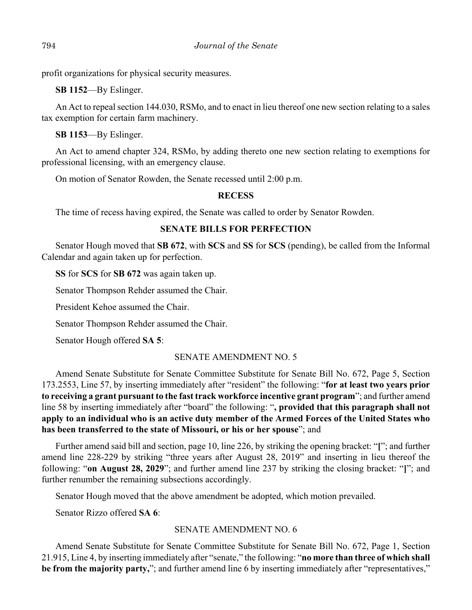profit organizations for physical security measures.

**SB 1152**—By Eslinger.

An Act to repeal section 144.030, RSMo, and to enact in lieu thereof one new section relating to a sales tax exemption for certain farm machinery.

**SB 1153**—By Eslinger.

An Act to amend chapter 324, RSMo, by adding thereto one new section relating to exemptions for professional licensing, with an emergency clause.

On motion of Senator Rowden, the Senate recessed until 2:00 p.m.

# **RECESS**

The time of recess having expired, the Senate was called to order by Senator Rowden.

# **SENATE BILLS FOR PERFECTION**

Senator Hough moved that **SB 672**, with **SCS** and **SS** for **SCS** (pending), be called from the Informal Calendar and again taken up for perfection.

**SS** for **SCS** for **SB 672** was again taken up.

Senator Thompson Rehder assumed the Chair.

President Kehoe assumed the Chair.

Senator Thompson Rehder assumed the Chair.

Senator Hough offered **SA 5**:

# SENATE AMENDMENT NO. 5

Amend Senate Substitute for Senate Committee Substitute for Senate Bill No. 672, Page 5, Section 173.2553, Line 57, by inserting immediately after "resident" the following: "**for at least two years prior to receiving a grant pursuant to the fast track workforce incentive grant program**"; and further amend line 58 by inserting immediately after "board" the following: "**, provided that this paragraph shall not apply to an individual who is an active duty member of the Armed Forces of the United States who has been transferred to the state of Missouri, or his or her spouse**"; and

Further amend said bill and section, page 10, line 226, by striking the opening bracket: "**[**"; and further amend line 228-229 by striking "three years after August 28, 2019" and inserting in lieu thereof the following: "**on August 28, 2029**"; and further amend line 237 by striking the closing bracket: "**]**"; and further renumber the remaining subsections accordingly.

Senator Hough moved that the above amendment be adopted, which motion prevailed.

Senator Rizzo offered **SA 6**:

# SENATE AMENDMENT NO. 6

Amend Senate Substitute for Senate Committee Substitute for Senate Bill No. 672, Page 1, Section 21.915, Line 4, by inserting immediately after "senate," the following: "**no more than three of which shall be from the majority party,**"; and further amend line 6 by inserting immediately after "representatives,"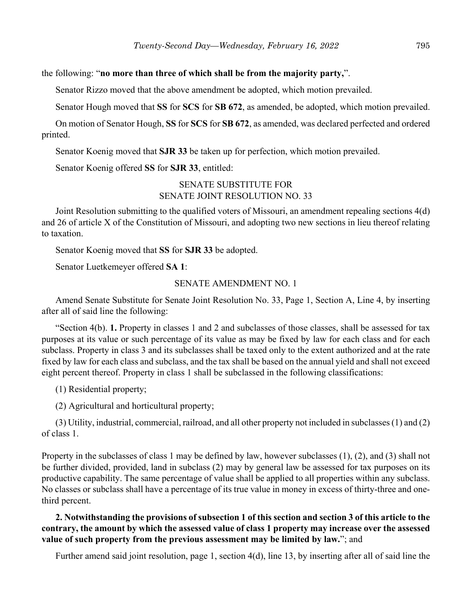## the following: "**no more than three of which shall be from the majority party,**".

Senator Rizzo moved that the above amendment be adopted, which motion prevailed.

Senator Hough moved that **SS** for **SCS** for **SB 672**, as amended, be adopted, which motion prevailed.

On motion of Senator Hough, **SS** for **SCS** for **SB 672**, as amended, was declared perfected and ordered printed.

Senator Koenig moved that **SJR 33** be taken up for perfection, which motion prevailed.

Senator Koenig offered **SS** for **SJR 33**, entitled:

# SENATE SUBSTITUTE FOR SENATE JOINT RESOLUTION NO. 33

Joint Resolution submitting to the qualified voters of Missouri, an amendment repealing sections 4(d) and 26 of article X of the Constitution of Missouri, and adopting two new sections in lieu thereof relating to taxation.

Senator Koenig moved that **SS** for **SJR 33** be adopted.

Senator Luetkemeyer offered **SA 1**:

# SENATE AMENDMENT NO. 1

Amend Senate Substitute for Senate Joint Resolution No. 33, Page 1, Section A, Line 4, by inserting after all of said line the following:

"Section 4(b). **1.** Property in classes 1 and 2 and subclasses of those classes, shall be assessed for tax purposes at its value or such percentage of its value as may be fixed by law for each class and for each subclass. Property in class 3 and its subclasses shall be taxed only to the extent authorized and at the rate fixed by law for each class and subclass, and the tax shall be based on the annual yield and shall not exceed eight percent thereof. Property in class 1 shall be subclassed in the following classifications:

(1) Residential property;

(2) Agricultural and horticultural property;

(3) Utility, industrial, commercial, railroad, and all other property not included in subclasses (1) and (2) of class 1.

Property in the subclasses of class 1 may be defined by law, however subclasses (1), (2), and (3) shall not be further divided, provided, land in subclass (2) may by general law be assessed for tax purposes on its productive capability. The same percentage of value shall be applied to all properties within any subclass. No classes or subclass shall have a percentage of its true value in money in excess of thirty-three and onethird percent.

# **2. Notwithstanding the provisions of subsection 1 of this section and section 3 of this article to the contrary, the amount by which the assessed value of class 1 property may increase over the assessed value of such property from the previous assessment may be limited by law.**"; and

Further amend said joint resolution, page 1, section 4(d), line 13, by inserting after all of said line the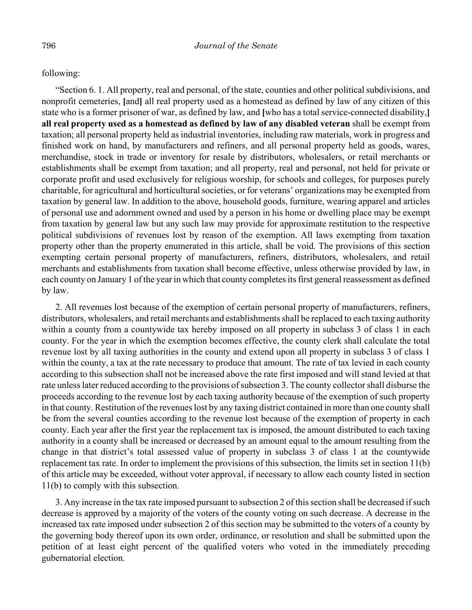following:

"Section 6. 1. All property, real and personal, of the state, counties and other political subdivisions, and nonprofit cemeteries, **[**and**]** all real property used as a homestead as defined by law of any citizen of this state who is a former prisoner of war, as defined by law, and **[**who has a total service-connected disability,**] all real property used as a homestead as defined by law of any disabled veteran** shall be exempt from taxation; all personal property held as industrial inventories, including raw materials, work in progress and finished work on hand, by manufacturers and refiners, and all personal property held as goods, wares, merchandise, stock in trade or inventory for resale by distributors, wholesalers, or retail merchants or establishments shall be exempt from taxation; and all property, real and personal, not held for private or corporate profit and used exclusively for religious worship, for schools and colleges, for purposes purely charitable, for agricultural and horticultural societies, or for veterans' organizations may be exempted from taxation by general law. In addition to the above, household goods, furniture, wearing apparel and articles of personal use and adornment owned and used by a person in his home or dwelling place may be exempt from taxation by general law but any such law may provide for approximate restitution to the respective political subdivisions of revenues lost by reason of the exemption. All laws exempting from taxation property other than the property enumerated in this article, shall be void. The provisions of this section exempting certain personal property of manufacturers, refiners, distributors, wholesalers, and retail merchants and establishments from taxation shall become effective, unless otherwise provided by law, in each county on January 1 of the year in which that county completes its first general reassessment as defined by law.

2. All revenues lost because of the exemption of certain personal property of manufacturers, refiners, distributors, wholesalers, and retail merchants and establishments shall be replaced to each taxing authority within a county from a countywide tax hereby imposed on all property in subclass 3 of class 1 in each county. For the year in which the exemption becomes effective, the county clerk shall calculate the total revenue lost by all taxing authorities in the county and extend upon all property in subclass 3 of class 1 within the county, a tax at the rate necessary to produce that amount. The rate of tax levied in each county according to this subsection shall not be increased above the rate first imposed and will stand levied at that rate unless later reduced according to the provisions of subsection 3. The county collector shall disburse the proceeds according to the revenue lost by each taxing authority because of the exemption of such property in that county. Restitution of the revenues lost by any taxing district contained in more than one county shall be from the several counties according to the revenue lost because of the exemption of property in each county. Each year after the first year the replacement tax is imposed, the amount distributed to each taxing authority in a county shall be increased or decreased by an amount equal to the amount resulting from the change in that district's total assessed value of property in subclass 3 of class 1 at the countywide replacement tax rate. In order to implement the provisions of this subsection, the limits set in section 11(b) of this article may be exceeded, without voter approval, if necessary to allow each county listed in section 11(b) to comply with this subsection.

3. Any increase in the tax rate imposed pursuant to subsection 2 of this section shall be decreased if such decrease is approved by a majority of the voters of the county voting on such decrease. A decrease in the increased tax rate imposed under subsection 2 of this section may be submitted to the voters of a county by the governing body thereof upon its own order, ordinance, or resolution and shall be submitted upon the petition of at least eight percent of the qualified voters who voted in the immediately preceding gubernatorial election.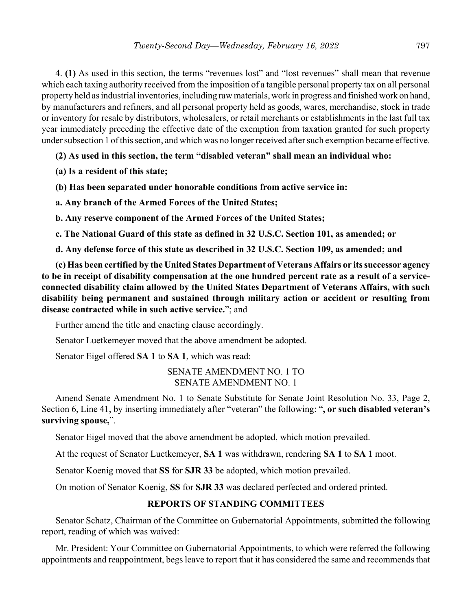4. **(1)** As used in this section, the terms "revenues lost" and "lost revenues" shall mean that revenue which each taxing authority received from the imposition of a tangible personal property tax on all personal property held as industrial inventories, including raw materials, work in progress and finished work on hand, by manufacturers and refiners, and all personal property held as goods, wares, merchandise, stock in trade or inventory for resale by distributors, wholesalers, or retail merchants or establishments in the last full tax year immediately preceding the effective date of the exemption from taxation granted for such property under subsection 1 of this section, and which was no longer received after such exemption became effective.

**(2) As used in this section, the term "disabled veteran" shall mean an individual who:**

**(a) Is a resident of this state;**

**(b) Has been separated under honorable conditions from active service in:**

**a. Any branch of the Armed Forces of the United States;**

**b. Any reserve component of the Armed Forces of the United States;**

**c. The National Guard of this state as defined in 32 U.S.C. Section 101, as amended; or**

**d. Any defense force of this state as described in 32 U.S.C. Section 109, as amended; and**

**(c) Has been certified by the United States Department of Veterans Affairs or its successor agency to be in receipt of disability compensation at the one hundred percent rate as a result of a serviceconnected disability claim allowed by the United States Department of Veterans Affairs, with such disability being permanent and sustained through military action or accident or resulting from disease contracted while in such active service.**"; and

Further amend the title and enacting clause accordingly.

Senator Luetkemeyer moved that the above amendment be adopted.

Senator Eigel offered **SA 1** to **SA 1**, which was read:

SENATE AMENDMENT NO. 1 TO SENATE AMENDMENT NO. 1

Amend Senate Amendment No. 1 to Senate Substitute for Senate Joint Resolution No. 33, Page 2, Section 6, Line 41, by inserting immediately after "veteran" the following: "**, or such disabled veteran's surviving spouse,**".

Senator Eigel moved that the above amendment be adopted, which motion prevailed.

At the request of Senator Luetkemeyer, **SA 1** was withdrawn, rendering **SA 1** to **SA 1** moot.

Senator Koenig moved that **SS** for **SJR 33** be adopted, which motion prevailed.

On motion of Senator Koenig, **SS** for **SJR 33** was declared perfected and ordered printed.

# **REPORTS OF STANDING COMMITTEES**

Senator Schatz, Chairman of the Committee on Gubernatorial Appointments, submitted the following report, reading of which was waived:

Mr. President: Your Committee on Gubernatorial Appointments, to which were referred the following appointments and reappointment, begs leave to report that it has considered the same and recommends that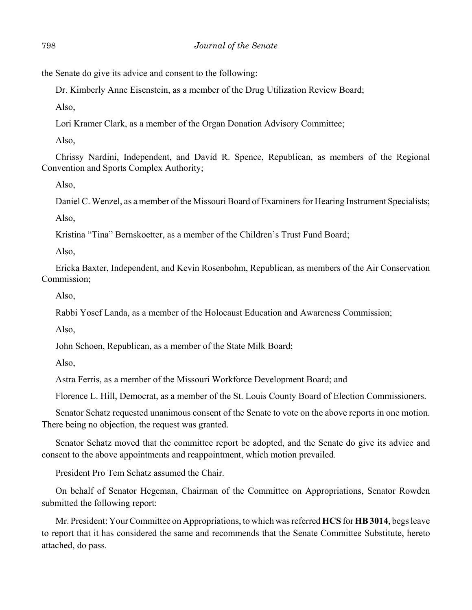the Senate do give its advice and consent to the following:

Dr. Kimberly Anne Eisenstein, as a member of the Drug Utilization Review Board;

Also,

Lori Kramer Clark, as a member of the Organ Donation Advisory Committee;

Also,

Chrissy Nardini, Independent, and David R. Spence, Republican, as members of the Regional Convention and Sports Complex Authority;

Also,

Daniel C. Wenzel, as a member of the Missouri Board of Examiners for Hearing Instrument Specialists; Also,

Kristina "Tina" Bernskoetter, as a member of the Children's Trust Fund Board;

Also,

Ericka Baxter, Independent, and Kevin Rosenbohm, Republican, as members of the Air Conservation Commission;

Also,

Rabbi Yosef Landa, as a member of the Holocaust Education and Awareness Commission;

Also,

John Schoen, Republican, as a member of the State Milk Board;

Also,

Astra Ferris, as a member of the Missouri Workforce Development Board; and

Florence L. Hill, Democrat, as a member of the St. Louis County Board of Election Commissioners.

Senator Schatz requested unanimous consent of the Senate to vote on the above reports in one motion. There being no objection, the request was granted.

Senator Schatz moved that the committee report be adopted, and the Senate do give its advice and consent to the above appointments and reappointment, which motion prevailed.

President Pro Tem Schatz assumed the Chair.

On behalf of Senator Hegeman, Chairman of the Committee on Appropriations, Senator Rowden submitted the following report:

Mr. President: Your Committee on Appropriations, to which was referred **HCS** for **HB 3014**, begs leave to report that it has considered the same and recommends that the Senate Committee Substitute, hereto attached, do pass.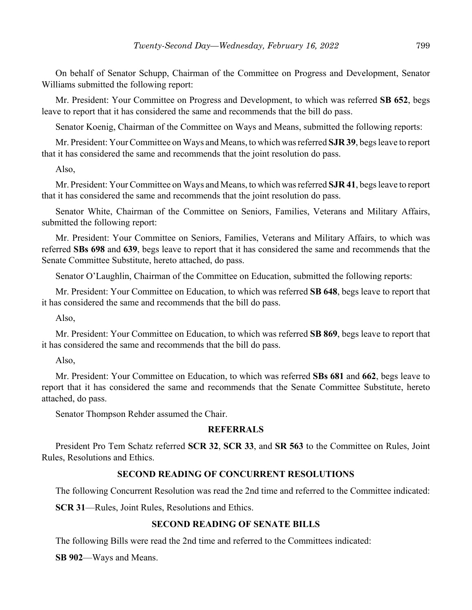On behalf of Senator Schupp, Chairman of the Committee on Progress and Development, Senator Williams submitted the following report:

Mr. President: Your Committee on Progress and Development, to which was referred **SB 652**, begs leave to report that it has considered the same and recommends that the bill do pass.

Senator Koenig, Chairman of the Committee on Ways and Means, submitted the following reports:

Mr. President: Your Committee on Ways and Means, to which was referred **SJR 39**, begs leave to report that it has considered the same and recommends that the joint resolution do pass.

Also,

Mr. President: Your Committee on Ways and Means, to which was referred **SJR 41**, begs leave to report that it has considered the same and recommends that the joint resolution do pass.

Senator White, Chairman of the Committee on Seniors, Families, Veterans and Military Affairs, submitted the following report:

Mr. President: Your Committee on Seniors, Families, Veterans and Military Affairs, to which was referred **SBs 698** and **639**, begs leave to report that it has considered the same and recommends that the Senate Committee Substitute, hereto attached, do pass.

Senator O'Laughlin, Chairman of the Committee on Education, submitted the following reports:

Mr. President: Your Committee on Education, to which was referred **SB 648**, begs leave to report that it has considered the same and recommends that the bill do pass.

Also,

Mr. President: Your Committee on Education, to which was referred **SB 869**, begs leave to report that it has considered the same and recommends that the bill do pass.

Also,

Mr. President: Your Committee on Education, to which was referred **SBs 681** and **662**, begs leave to report that it has considered the same and recommends that the Senate Committee Substitute, hereto attached, do pass.

Senator Thompson Rehder assumed the Chair.

## **REFERRALS**

President Pro Tem Schatz referred **SCR 32**, **SCR 33**, and **SR 563** to the Committee on Rules, Joint Rules, Resolutions and Ethics.

## **SECOND READING OF CONCURRENT RESOLUTIONS**

The following Concurrent Resolution was read the 2nd time and referred to the Committee indicated:

**SCR 31**––Rules, Joint Rules, Resolutions and Ethics.

## **SECOND READING OF SENATE BILLS**

The following Bills were read the 2nd time and referred to the Committees indicated:

**SB 902**––Ways and Means.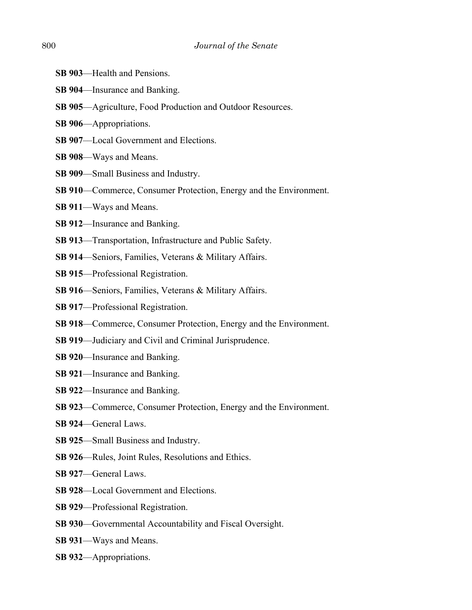- **SB 903—Health and Pensions.**
- **SB 904**––Insurance and Banking.
- **SB 905**––Agriculture, Food Production and Outdoor Resources.
- **SB 906**––Appropriations.
- **SB 907**––Local Government and Elections.
- **SB 908**––Ways and Means.
- **SB 909**––Small Business and Industry.
- **SB 910**––Commerce, Consumer Protection, Energy and the Environment.
- **SB 911**––Ways and Means.
- **SB 912**––Insurance and Banking.
- **SB 913**––Transportation, Infrastructure and Public Safety.
- **SB 914**––Seniors, Families, Veterans & Military Affairs.
- **SB 915**––Professional Registration.
- **SB 916**––Seniors, Families, Veterans & Military Affairs.
- **SB 917**––Professional Registration.
- **SB 918**––Commerce, Consumer Protection, Energy and the Environment.
- **SB 919**––Judiciary and Civil and Criminal Jurisprudence.
- **SB 920**––Insurance and Banking.
- **SB 921**––Insurance and Banking.
- **SB 922**––Insurance and Banking.
- **SB 923**––Commerce, Consumer Protection, Energy and the Environment.
- **SB 924**––General Laws.
- **SB 925**––Small Business and Industry.
- **SB 926**––Rules, Joint Rules, Resolutions and Ethics.
- **SB 927**––General Laws.
- **SB 928—Local Government and Elections.**
- **SB 929**––Professional Registration.
- **SB 930––Governmental Accountability and Fiscal Oversight.**
- **SB 931**––Ways and Means.
- **SB 932**––Appropriations.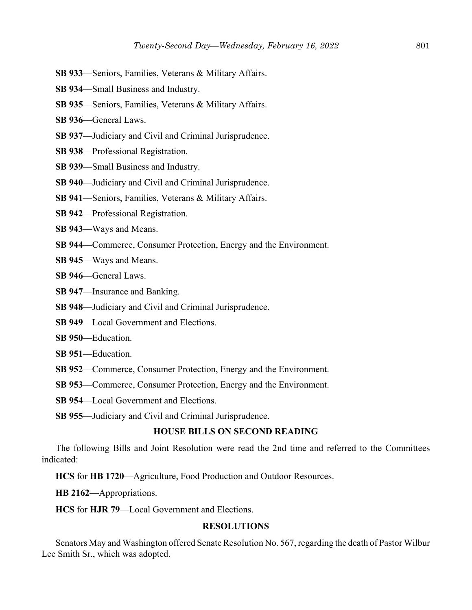- **SB 933**––Seniors, Families, Veterans & Military Affairs.
- **SB 934**––Small Business and Industry.
- **SB 935**––Seniors, Families, Veterans & Military Affairs.
- **SB 936**––General Laws.
- **SB 937**––Judiciary and Civil and Criminal Jurisprudence.
- **SB 938**––Professional Registration.
- **SB 939**––Small Business and Industry.
- **SB 940**––Judiciary and Civil and Criminal Jurisprudence.
- **SB 941**––Seniors, Families, Veterans & Military Affairs.
- **SB 942**––Professional Registration.
- **SB 943**––Ways and Means.
- **SB 944—Commerce, Consumer Protection, Energy and the Environment.**
- **SB 945**––Ways and Means.
- **SB 946**––General Laws.
- **SB 947**––Insurance and Banking.
- **SB 948**––Judiciary and Civil and Criminal Jurisprudence.
- **SB 949**—Local Government and Elections.
- **SB 950**––Education.
- **SB 951**––Education.
- **SB 952—Commerce, Consumer Protection, Energy and the Environment.**
- **SB 953**––Commerce, Consumer Protection, Energy and the Environment.
- **SB 954**—Local Government and Elections.
- **SB 955**––Judiciary and Civil and Criminal Jurisprudence.

#### **HOUSE BILLS ON SECOND READING**

The following Bills and Joint Resolution were read the 2nd time and referred to the Committees indicated:

**HCS** for **HB 1720**––Agriculture, Food Production and Outdoor Resources.

**HB 2162**––Appropriations.

**HCS** for **HJR 79**––Local Government and Elections.

# **RESOLUTIONS**

Senators May and Washington offered Senate Resolution No. 567, regarding the death of Pastor Wilbur Lee Smith Sr., which was adopted.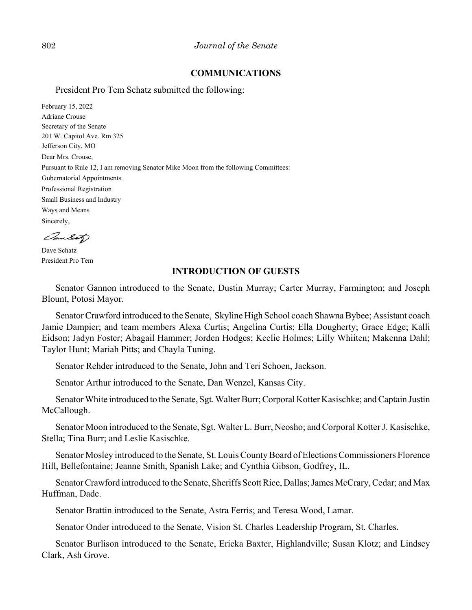## **COMMUNICATIONS**

President Pro Tem Schatz submitted the following:

February 15, 2022 Adriane Crouse Secretary of the Senate 201 W. Capitol Ave. Rm 325 Jefferson City, MO Dear Mrs. Crouse, Pursuant to Rule 12, I am removing Senator Mike Moon from the following Committees: Gubernatorial Appointments Professional Registration Small Business and Industry Ways and Means Sincerely,

Can Seto

Dave Schatz President Pro Tem

## **INTRODUCTION OF GUESTS**

Senator Gannon introduced to the Senate, Dustin Murray; Carter Murray, Farmington; and Joseph Blount, Potosi Mayor.

Senator Crawford introduced to the Senate, Skyline High School coach Shawna Bybee; Assistant coach Jamie Dampier; and team members Alexa Curtis; Angelina Curtis; Ella Dougherty; Grace Edge; Kalli Eidson; Jadyn Foster; Abagail Hammer; Jorden Hodges; Keelie Holmes; Lilly Whiiten; Makenna Dahl; Taylor Hunt; Mariah Pitts; and Chayla Tuning.

Senator Rehder introduced to the Senate, John and Teri Schoen, Jackson.

Senator Arthur introduced to the Senate, Dan Wenzel, Kansas City.

Senator White introduced to the Senate, Sgt. Walter Burr; Corporal Kotter Kasischke; and Captain Justin McCallough.

Senator Moon introduced to the Senate, Sgt. Walter L. Burr, Neosho; and Corporal Kotter J. Kasischke, Stella; Tina Burr; and Leslie Kasischke.

Senator Mosley introduced to the Senate, St. Louis County Board of Elections Commissioners Florence Hill, Bellefontaine; Jeanne Smith, Spanish Lake; and Cynthia Gibson, Godfrey, IL.

Senator Crawford introduced to the Senate, Sheriffs Scott Rice, Dallas; James McCrary, Cedar; and Max Huffman, Dade.

Senator Brattin introduced to the Senate, Astra Ferris; and Teresa Wood, Lamar.

Senator Onder introduced to the Senate, Vision St. Charles Leadership Program, St. Charles.

Senator Burlison introduced to the Senate, Ericka Baxter, Highlandville; Susan Klotz; and Lindsey Clark, Ash Grove.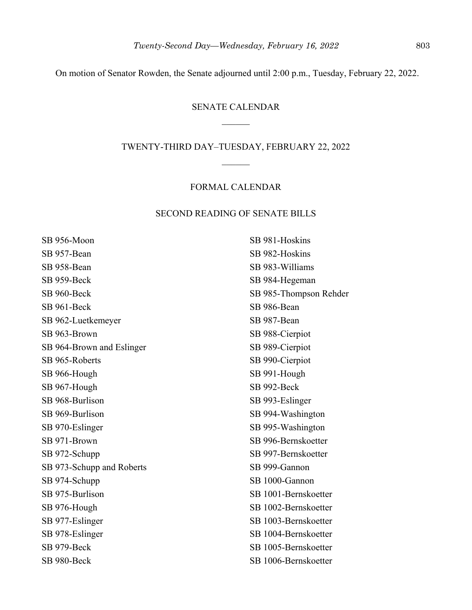On motion of Senator Rowden, the Senate adjourned until 2:00 p.m., Tuesday, February 22, 2022.

## SENATE CALENDAR

#### TWENTY-THIRD DAY–TUESDAY, FEBRUARY 22, 2022

## FORMAL CALENDAR

# SECOND READING OF SENATE BILLS

SB 956-Moon SB 957-Bean SB 958-Bean SB 959-Beck SB 960-Beck SB 961-Beck SB 962-Luetkemeyer SB 963-Brown SB 964-Brown and Eslinger SB 965-Roberts SB 966-Hough SB 967-Hough SB 968-Burlison SB 969-Burlison SB 970-Eslinger SB 971-Brown SB 972-Schupp SB 973-Schupp and Roberts SB 974-Schupp SB 975-Burlison SB 976-Hough SB 977-Eslinger SB 978-Eslinger SB 979-Beck SB 980-Beck

SB 981-Hoskins SB 982-Hoskins SB 983-Williams SB 984-Hegeman SB 985-Thompson Rehder SB 986-Bean SB 987-Bean SB 988-Cierpiot SB 989-Cierpiot SB 990-Cierpiot SB 991-Hough SB 992-Beck SB 993-Eslinger SB 994-Washington SB 995-Washington SB 996-Bernskoetter SB 997-Bernskoetter SB 999-Gannon SB 1000-Gannon SB 1001-Bernskoetter SB 1002-Bernskoetter SB 1003-Bernskoetter SB 1004-Bernskoetter SB 1005-Bernskoetter SB 1006-Bernskoetter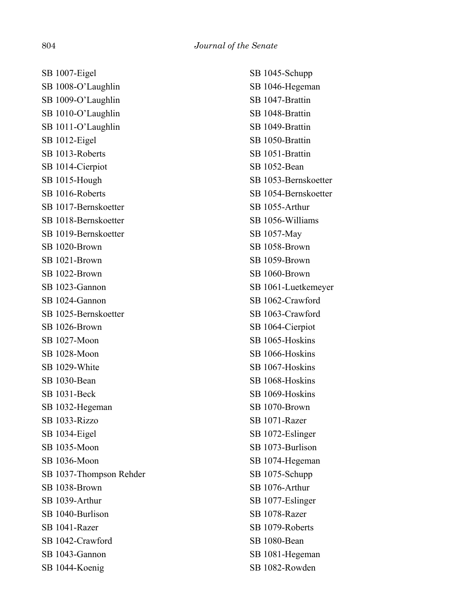SB 1007-Eigel SB 1008-O'Laughlin SB 1009-O'Laughlin SB 1010-O'Laughlin SB 1011-O'Laughlin SB 1012-Eigel SB 1013-Roberts SB 1014-Cierpiot SB 1015-Hough SB 1016-Roberts SB 1017-Bernskoetter SB 1018-Bernskoetter SB 1019-Bernskoetter SB 1020-Brown SB 1021-Brown SB 1022-Brown SB 1023-Gannon SB 1024-Gannon SB 1025-Bernskoetter SB 1026-Brown SB 1027-Moon SB 1028-Moon SB 1029-White SB 1030-Bean SB 1031-Beck SB 1032-Hegeman SB 1033-Rizzo SB 1034-Eigel SB 1035-Moon SB 1036-Moon SB 1037-Thompson Rehder SB 1038-Brown SB 1039-Arthur SB 1040-Burlison SB 1041-Razer SB 1042-Crawford SB 1043-Gannon SB 1044-Koenig

SB 1045-Schupp SB 1046-Hegeman SB 1047-Brattin SB 1048-Brattin SB 1049-Brattin SB 1050-Brattin SB 1051-Brattin SB 1052-Bean SB 1053-Bernskoetter SB 1054-Bernskoetter SB 1055-Arthur SB 1056-Williams SB 1057-May SB 1058-Brown SB 1059-Brown SB 1060-Brown SB 1061-Luetkemeyer SB 1062-Crawford SB 1063-Crawford SB 1064-Cierpiot SB 1065-Hoskins SB 1066-Hoskins SB 1067-Hoskins SB 1068-Hoskins SB 1069-Hoskins SB 1070-Brown SB 1071-Razer SB 1072-Eslinger SB 1073-Burlison SB 1074-Hegeman SB 1075-Schupp SB 1076-Arthur SB 1077-Eslinger SB 1078-Razer SB 1079-Roberts SB 1080-Bean SB 1081-Hegeman SB 1082-Rowden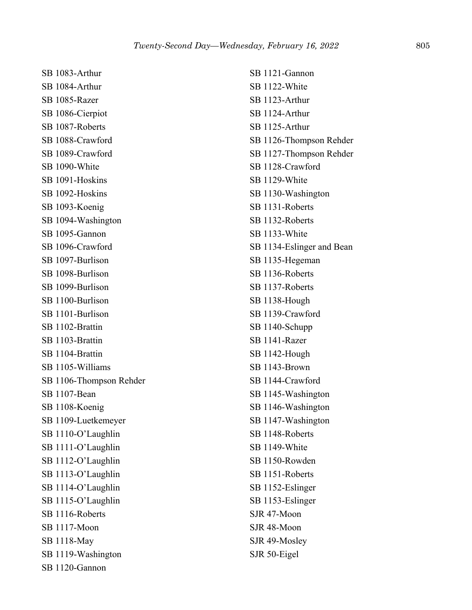SB 1083-Arthur SB 1084-Arthur SB 1085-Razer SB 1086-Cierpiot SB 1087-Roberts SB 1088-Crawford SB 1089-Crawford SB 1090-White SB 1091-Hoskins SB 1092-Hoskins SB 1093-Koenig SB 1094-Washington SB 1095-Gannon SB 1096-Crawford SB 1097-Burlison SB 1098-Burlison SB 1099-Burlison SB 1100-Burlison SB 1101-Burlison SB 1102-Brattin SB 1103-Brattin SB 1104-Brattin SB 1105-Williams SB 1106-Thompson Rehder SB 1107-Bean SB 1108-Koenig SB 1109-Luetkemeyer SB 1110-O'Laughlin SB 1111-O'Laughlin SB 1112-O'Laughlin SB 1113-O'Laughlin SB 1114-O'Laughlin SB 1115-O'Laughlin SB 1116-Roberts SB 1117-Moon SB 1118-May SB 1119-Washington SB 1120-Gannon

SB 1121-Gannon SB 1122-White SB 1123-Arthur SB 1124-Arthur SB 1125-Arthur SB 1126-Thompson Rehder SB 1127-Thompson Rehder SB 1128-Crawford SB 1129-White SB 1130-Washington SB 1131-Roberts SB 1132-Roberts SB 1133-White SB 1134-Eslinger and Bean SB 1135-Hegeman SB 1136-Roberts SB 1137-Roberts SB 1138-Hough SB 1139-Crawford SB 1140-Schupp SB 1141-Razer SB 1142-Hough SB 1143-Brown SB 1144-Crawford SB 1145-Washington SB 1146-Washington SB 1147-Washington SB 1148-Roberts SB 1149-White SB 1150-Rowden SB 1151-Roberts SB 1152-Eslinger SB 1153-Eslinger SJR 47-Moon SJR 48-Moon SJR 49-Mosley SJR 50-Eigel